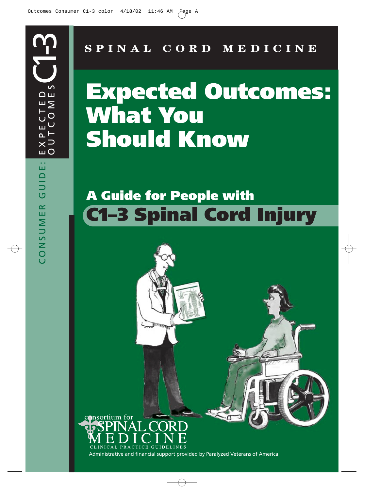**SPINAL CORD MEDICINE**

# **Expected Outcomes: What You Should Know**

# **A Guide for People with C1–3 Spinal Cord Injury**

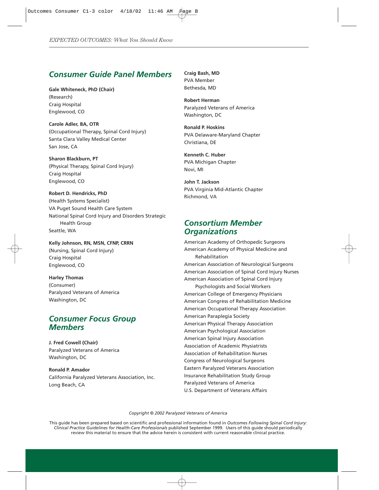# *Consumer Guide Panel Members*

**Gale Whiteneck, PhD (Chair)** (Research) Craig Hospital Englewood, CO

**Carole Adler, BA, OTR** (Occupational Therapy, Spinal Cord Injury) Santa Clara Valley Medical Center San Jose, CA

**Sharon Blackburn, PT** (Physical Therapy, Spinal Cord Injury) Craig Hospital Englewood, CO

**Robert D. Hendricks, PhD** (Health Systems Specialist) VA Puget Sound Health Care System National Spinal Cord Injury and Disorders Strategic Health Group Seattle, WA

**Kelly Johnson, RN, MSN, CFNP, CRRN** (Nursing, Spinal Cord Injury) Craig Hospital Englewood, CO

**Harley Thomas** (Consumer) Paralyzed Veterans of America Washington, DC

# *Consumer Focus Group Members*

**J. Fred Cowell (Chair)** Paralyzed Veterans of America Washington, DC

**Ronald P. Amador** California Paralyzed Veterans Association, Inc. Long Beach, CA

**Craig Bash, MD** PVA Member Bethesda, MD

**Robert Herman** Paralyzed Veterans of America Washington, DC

**Ronald P. Hoskins** PVA Delaware-Maryland Chapter Christiana, DE

**Kenneth C. Huber** PVA Michigan Chapter Novi, MI

**John T. Jackson** PVA Virginia Mid-Atlantic Chapter Richmond, VA

# *Consortium Member Organizations*

American Academy of Orthopedic Surgeons American Academy of Physical Medicine and Rehabilitation American Association of Neurological Surgeons American Association of Spinal Cord Injury Nurses American Association of Spinal Cord Injury Psychologists and Social Workers American College of Emergency Physicians American Congress of Rehabilitation Medicine American Occupational Therapy Association American Paraplegia Society American Physical Therapy Association American Psychological Association American Spinal Injury Association Association of Academic Physiatrists Association of Rehabilitation Nurses Congress of Neurological Surgeons Eastern Paralyzed Veterans Association Insurance Rehabilitation Study Group Paralyzed Veterans of America U.S. Department of Veterans Affairs

*Copyright © 2002 Paralyzed Veterans of America*

This guide has been prepared based on scientific and professional information found in *Outcomes Following Spinal Cord Injury: Clinical Practice Guidelines for Health-Care Professionals* published September 1999. Users of this guide should periodically review this material to ensure that the advice herein is consistent with current reasonable clinical practice.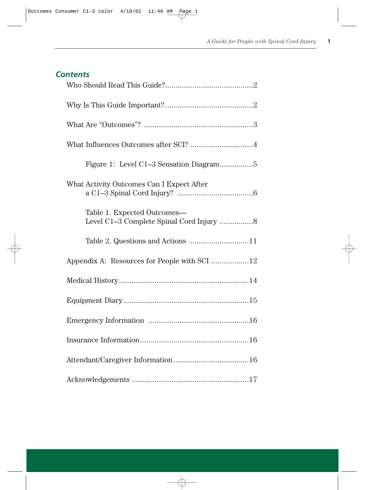# *Contents*

| What Influences Outcomes after SCI? 4     |
|-------------------------------------------|
|                                           |
| What Activity Outcomes Can I Expect After |
| Table 1. Expected Outcomes-               |
|                                           |
|                                           |
|                                           |
|                                           |
|                                           |
|                                           |
|                                           |
|                                           |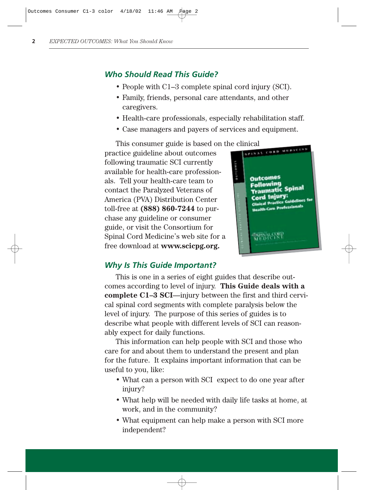# *Who Should Read This Guide?*

- People with C1–3 complete spinal cord injury (SCI).
- Family, friends, personal care attendants, and other caregivers.
- Health-care professionals, especially rehabilitation staff.
- Case managers and payers of services and equipment.

This consumer guide is based on the clinical<br>ctice guideline about outcomes

practice guideline about outcomes following traumatic SCI currently available for health-care professionals. Tell your health-care team to contact the Paralyzed Veterans of America (PVA) Distribution Center toll-free at **(888) 860-7244** to purchase any guideline or consumer guide, or visit the Consortium for Spinal Cord Medicine's web site for a free download at **www.scicpg.org.**



# *Why Is This Guide Important?*

This is one in a series of eight guides that describe outcomes according to level of injury. **This Guide deals with a complete C1–3 SCI**—injury between the first and third cervical spinal cord segments with complete paralysis below the level of injury. The purpose of this series of guides is to describe what people with different levels of SCI can reasonably expect for daily functions.

This information can help people with SCI and those who care for and about them to understand the present and plan for the future. It explains important information that can be useful to you, like:

- What can a person with SCI expect to do one year after injury?
- What help will be needed with daily life tasks at home, at work, and in the community?
- What equipment can help make a person with SCI more independent?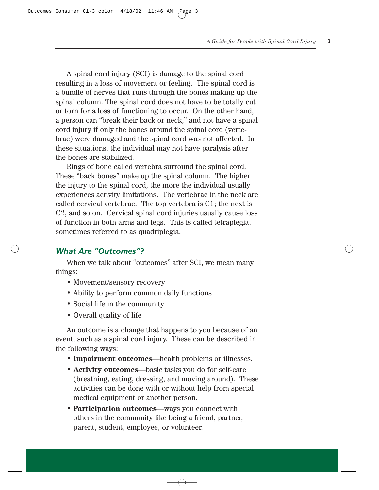A spinal cord injury (SCI) is damage to the spinal cord resulting in a loss of movement or feeling. The spinal cord is a bundle of nerves that runs through the bones making up the spinal column. The spinal cord does not have to be totally cut or torn for a loss of functioning to occur. On the other hand, a person can "break their back or neck," and not have a spinal cord injury if only the bones around the spinal cord (vertebrae) were damaged and the spinal cord was not affected. In these situations, the individual may not have paralysis after the bones are stabilized.

Rings of bone called vertebra surround the spinal cord. These "back bones" make up the spinal column. The higher the injury to the spinal cord, the more the individual usually experiences activity limitations. The vertebrae in the neck are called cervical vertebrae. The top vertebra is C1; the next is C2, and so on. Cervical spinal cord injuries usually cause loss of function in both arms and legs. This is called tetraplegia, sometimes referred to as quadriplegia.

# *What Are "Outcomes"?*

When we talk about "outcomes" after SCI, we mean many things:

- Movement/sensory recovery
- Ability to perform common daily functions
- Social life in the community
- Overall quality of life

An outcome is a change that happens to you because of an event, such as a spinal cord injury. These can be described in the following ways:

- **Impairment outcomes**—health problems or illnesses.
- **Activity outcomes**—basic tasks you do for self-care (breathing, eating, dressing, and moving around). These activities can be done with or without help from special medical equipment or another person.
- **Participation outcomes**—ways you connect with others in the community like being a friend, partner, parent, student, employee, or volunteer.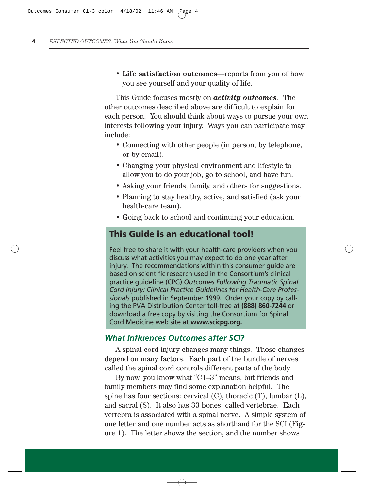• **Life satisfaction outcomes**—reports from you of how you see yourself and your quality of life.

This Guide focuses mostly on *activity outcomes*. The other outcomes described above are difficult to explain for each person. You should think about ways to pursue your own interests following your injury. Ways you can participate may include:

- Connecting with other people (in person, by telephone, or by email).
- Changing your physical environment and lifestyle to allow you to do your job, go to school, and have fun.
- Asking your friends, family, and others for suggestions.
- Planning to stay healthy, active, and satisfied (ask your health-care team).
- Going back to school and continuing your education.

# **This Guide is an educational tool!**

Feel free to share it with your health-care providers when you discuss what activities you may expect to do one year after injury. The recommendations within this consumer guide are based on scientific research used in the Consortium's clinical practice guideline (CPG) *Outcomes Following Traumatic Spinal Cord Injury: Clinical Practice Guidelines for Health-Care Professionals* published in September 1999. Order your copy by calling the PVA Distribution Center toll-free at **(888) 860-7244** or download a free copy by visiting the Consortium for Spinal Cord Medicine web site at **www.scicpg.org.**

#### *What Influences Outcomes after SCI?*

A spinal cord injury changes many things. Those changes depend on many factors. Each part of the bundle of nerves called the spinal cord controls different parts of the body.

By now, you know what "C1–3" means, but friends and family members may find some explanation helpful. The spine has four sections: cervical (C), thoracic (T), lumbar (L), and sacral (S). It also has 33 bones, called vertebrae. Each vertebra is associated with a spinal nerve. A simple system of one letter and one number acts as shorthand for the SCI (Figure 1). The letter shows the section, and the number shows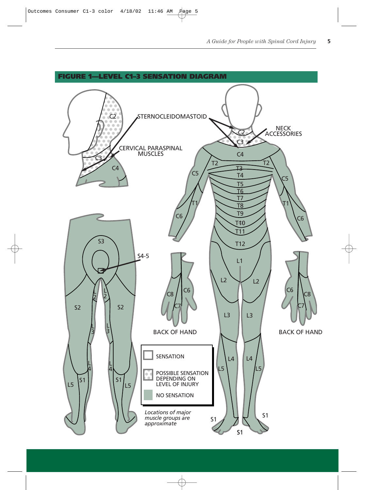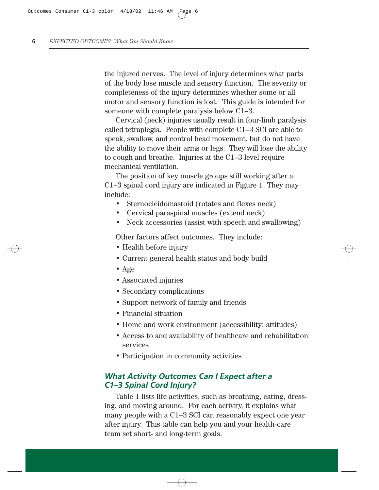the injured nerves. The level of injury determines what parts of the body lose muscle and sensory function. The severity or completeness of the injury determines whether some or all motor and sensory function is lost. This guide is intended for someone with complete paralysis below C1–3.

Cervical (neck) injuries usually result in four-limb paralysis called tetraplegia. People with complete C1–3 SCI are able to speak, swallow, and control head movement, but do not have the ability to move their arms or legs. They will lose the ability to cough and breathe. Injuries at the C1–3 level require mechanical ventilation.

The position of key muscle groups still working after a C1–3 spinal cord injury are indicated in Figure 1. They may include:

- Sternocleidomastoid (rotates and flexes neck)
- Cervical paraspinal muscles (extend neck)
- Neck accessories (assist with speech and swallowing)

Other factors affect outcomes. They include:

- Health before injury
- Current general health status and body build
- Age
- Associated injuries
- Secondary complications
- Support network of family and friends
- Financial situation
- Home and work environment (accessibility; attitudes)
- Access to and availability of healthcare and rehabilitation services
- Participation in community activities

# *What Activity Outcomes Can I Expect after a C1–3 Spinal Cord Injury?*

Table 1 lists life activities, such as breathing, eating, dressing, and moving around. For each activity, it explains what many people with a C1–3 SCI can reasonably expect one year after injury. This table can help you and your health-care team set short- and long-term goals.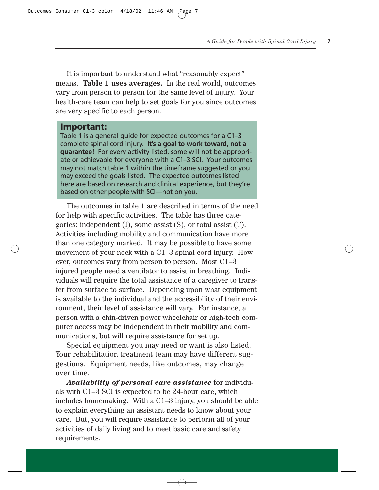It is important to understand what "reasonably expect" means. **Table 1 uses averages.** In the real world, outcomes vary from person to person for the same level of injury. Your health-care team can help to set goals for you since outcomes are very specific to each person.

#### **Important:**

Table 1 is a general guide for expected outcomes for a C1–3 complete spinal cord injury. **It's a goal to work toward, not a guarantee!** For every activity listed, some will not be appropriate or achievable for everyone with a C1–3 SCI. Your outcomes may not match table 1 within the timeframe suggested or you may exceed the goals listed. The expected outcomes listed here are based on research and clinical experience, but they're based on other people with SCI—not on you.

The outcomes in table 1 are described in terms of the need for help with specific activities. The table has three categories: independent (I), some assist (S), or total assist (T). Activities including mobility and communication have more than one category marked. It may be possible to have some movement of your neck with a C1–3 spinal cord injury. However, outcomes vary from person to person. Most C1–3 injured people need a ventilator to assist in breathing. Individuals will require the total assistance of a caregiver to transfer from surface to surface. Depending upon what equipment is available to the individual and the accessibility of their environment, their level of assistance will vary. For instance, a person with a chin-driven power wheelchair or high-tech computer access may be independent in their mobility and communications, but will require assistance for set up.

Special equipment you may need or want is also listed. Your rehabilitation treatment team may have different suggestions. Equipment needs, like outcomes, may change over time.

*Availability of personal care assistance* for individuals with C1–3 SCI is expected to be 24-hour care, which includes homemaking. With a C1–3 injury, you should be able to explain everything an assistant needs to know about your care. But, you will require assistance to perform all of your activities of daily living and to meet basic care and safety requirements.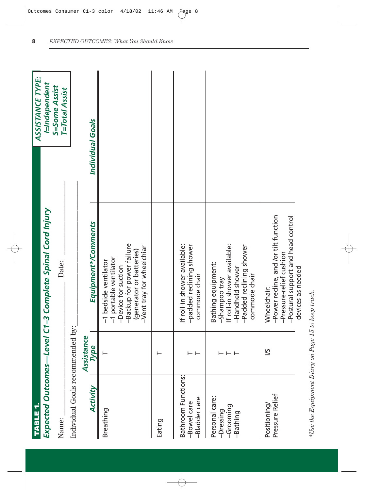| <b>TABLE1</b>                                        |            |                                                                                                                                                              | ASSISTANCE TYPE:                       |
|------------------------------------------------------|------------|--------------------------------------------------------------------------------------------------------------------------------------------------------------|----------------------------------------|
|                                                      |            | Expected Outcomes-Level C1-3 Complete Spinal Cord Injury                                                                                                     | I=Independent                          |
| Name:                                                |            | Date:                                                                                                                                                        | S=Some Assist<br><b>T=Total Assist</b> |
| Individual Goals recommended by:                     |            |                                                                                                                                                              |                                        |
|                                                      | Assistance |                                                                                                                                                              |                                        |
| Activity                                             | Type       | Equipment*/Comments                                                                                                                                          | Individual Goals                       |
| Breathing                                            | ⊢          | -Backup for power failure<br>-Vent tray for wheelchiar<br>(generator or batteries)<br>-1 portable ventilator<br>-1 bedside ventilator<br>-Device for suction |                                        |
| Eating                                               |            |                                                                                                                                                              |                                        |
| Bathroom Functions:<br>-Bladder care<br>-Bowel care  | ⊢ ⊢        | If roll-in shower available:<br>-padded reclining shower<br>commode chair                                                                                    |                                        |
| Personal care:<br>-Grooming<br>-Dressing<br>-Bathing | ⊢ ⊢ ⊢      | If roll-in shower available:<br>-Padded reclining shower<br>Bathing equipment:<br>-Handheld shower<br>commode chair<br>-Shampoo tray                         |                                        |
| Pressure Relief<br>Positioning                       | 51         | -Power recline, and /or tilt function<br>-Pressure-relief cushion<br>-Postural support and head control<br>devices as needed<br>Wheelchair:                  |                                        |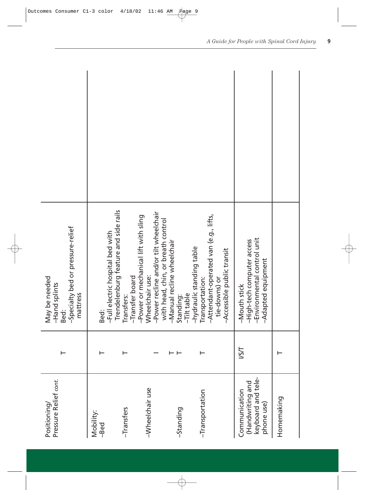| Pressure Relief cont.<br>Positioning/                                 |       | -Specialty bed or pressure-relief<br>May be needed<br>-Hand splints<br>mattress<br>Bed:                                                |
|-----------------------------------------------------------------------|-------|----------------------------------------------------------------------------------------------------------------------------------------|
| Mobility:<br>-Bed                                                     |       | -Full electric hospital bed with<br>Bed:                                                                                               |
| -Transfers                                                            |       | Trendelenburg feature and side rails<br>-Transfer board<br>Transfers:                                                                  |
| -Wheelchair use                                                       |       | -Power recline and/or tilt wheelchair<br>-Power or mechanical lift with sling<br>with head, chin, or breath control<br>Wheelchair use: |
| -Standing                                                             |       | -Manual recline wheelchair<br>-Tilt table<br>Standing:                                                                                 |
| -Transportation                                                       |       | -Attendant-operated van (e.g., lifts,<br>-hydraulic standing table<br>-Accessible public transit<br>Transportation:<br>tie-downs) or   |
| keyboard and tele-<br>(Handwriting and<br>Communication<br>phone use) | I/S/I | -Environmental control unit<br>-High-tech computer access<br>Adapted equipment<br>-Mouth stick                                         |
| Homemaking                                                            |       |                                                                                                                                        |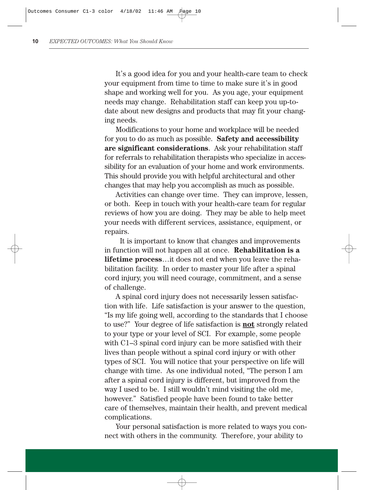It's a good idea for you and your health-care team to check your equipment from time to time to make sure it's in good shape and working well for you. As you age, your equipment needs may change. Rehabilitation staff can keep you up-todate about new designs and products that may fit your changing needs.

Modifications to your home and workplace will be needed for you to do as much as possible. **Safety and accessibility are significant considerations**. Ask your rehabilitation staff for referrals to rehabilitation therapists who specialize in accessibility for an evaluation of your home and work environments. This should provide you with helpful architectural and other changes that may help you accomplish as much as possible.

Activities can change over time. They can improve, lessen, or both. Keep in touch with your health-care team for regular reviews of how you are doing. They may be able to help meet your needs with different services, assistance, equipment, or repairs.

It is important to know that changes and improvements in function will not happen all at once. **Rehabilitation is a lifetime process**…it does not end when you leave the rehabilitation facility. In order to master your life after a spinal cord injury, you will need courage, commitment, and a sense of challenge.

A spinal cord injury does not necessarily lessen satisfaction with life. Life satisfaction is your answer to the question, "Is my life going well, according to the standards that I choose to use?" Your degree of life satisfaction is **not** strongly related to your type or your level of SCI. For example, some people with C1–3 spinal cord injury can be more satisfied with their lives than people without a spinal cord injury or with other types of SCI. You will notice that your perspective on life will change with time. As one individual noted, "The person I am after a spinal cord injury is different, but improved from the way I used to be. I still wouldn't mind visiting the old me, however." Satisfied people have been found to take better care of themselves, maintain their health, and prevent medical complications.

Your personal satisfaction is more related to ways you connect with others in the community. Therefore, your ability to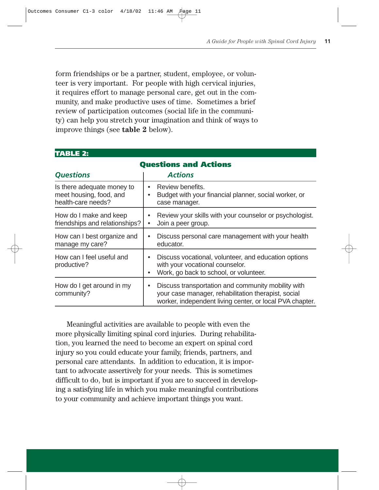form friendships or be a partner, student, employee, or volunteer is very important. For people with high cervical injuries, it requires effort to manage personal care, get out in the community, and make productive uses of time. Sometimes a brief review of participation outcomes (social life in the community) can help you stretch your imagination and think of ways to improve things (see **table 2** below).

| <b>TABLE 2:</b>                                                             |                                                                                                                                                                                    |  |  |  |  |  |  |
|-----------------------------------------------------------------------------|------------------------------------------------------------------------------------------------------------------------------------------------------------------------------------|--|--|--|--|--|--|
| <b>Questions and Actions</b>                                                |                                                                                                                                                                                    |  |  |  |  |  |  |
| <b>Questions</b>                                                            | <b>Actions</b>                                                                                                                                                                     |  |  |  |  |  |  |
| Is there adequate money to<br>meet housing, food, and<br>health-care needs? | Review benefits.<br>$\bullet$<br>Budget with your financial planner, social worker, or<br>case manager.                                                                            |  |  |  |  |  |  |
| How do I make and keep<br>friendships and relationships?                    | Review your skills with your counselor or psychologist.<br>Join a peer group.                                                                                                      |  |  |  |  |  |  |
| How can I best organize and<br>manage my care?                              | Discuss personal care management with your health<br>educator.                                                                                                                     |  |  |  |  |  |  |
| How can I feel useful and<br>productive?                                    | Discuss vocational, volunteer, and education options<br>with your vocational counselor.<br>Work, go back to school, or volunteer.                                                  |  |  |  |  |  |  |
| How do I get around in my<br>community?                                     | Discuss transportation and community mobility with<br>$\bullet$<br>your case manager, rehabilitation therapist, social<br>worker, independent living center, or local PVA chapter. |  |  |  |  |  |  |

Meaningful activities are available to people with even the more physically limiting spinal cord injuries. During rehabilitation, you learned the need to become an expert on spinal cord injury so you could educate your family, friends, partners, and personal care attendants. In addition to education, it is important to advocate assertively for your needs. This is sometimes difficult to do, but is important if you are to succeed in developing a satisfying life in which you make meaningful contributions to your community and achieve important things you want.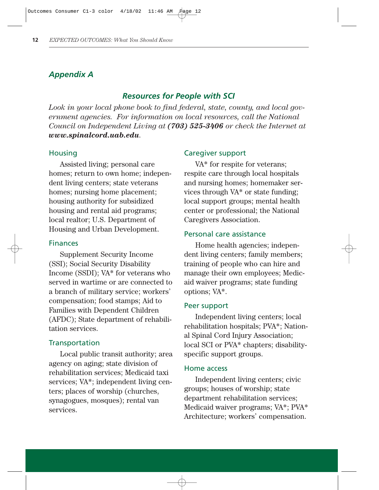# *Appendix A*

# *Resources for People with SCI*

*Look in your local phone book to find federal, state, county, and local government agencies. For information on local resources, call the National Council on Independent Living at (703) 525-3406 or check the Internet at www.spinalcord.uab.edu.*

#### **Housing**

Assisted living; personal care homes; return to own home; independent living centers; state veterans homes; nursing home placement; housing authority for subsidized housing and rental aid programs; local realtor; U.S. Department of Housing and Urban Development.

#### Finances

Supplement Security Income (SSI); Social Security Disability Income (SSDI); VA\* for veterans who served in wartime or are connected to a branch of military service; workers' compensation; food stamps; Aid to Families with Dependent Children (AFDC); State department of rehabilitation services.

#### **Transportation**

Local public transit authority; area agency on aging; state division of rehabilitation services; Medicaid taxi services; VA\*; independent living centers; places of worship (churches, synagogues, mosques); rental van services.

#### Caregiver support

VA\* for respite for veterans; respite care through local hospitals and nursing homes; homemaker services through VA\* or state funding; local support groups; mental health center or professional; the National Caregivers Association.

#### Personal care assistance

Home health agencies; independent living centers; family members; training of people who can hire and manage their own employees; Medicaid waiver programs; state funding options; VA\*.

#### Peer support

Independent living centers; local rehabilitation hospitals; PVA\*; National Spinal Cord Injury Association; local SCI or PVA\* chapters; disabilityspecific support groups.

#### Home access

Independent living centers; civic groups; houses of worship; state department rehabilitation services; Medicaid waiver programs; VA\*; PVA\* Architecture; workers' compensation.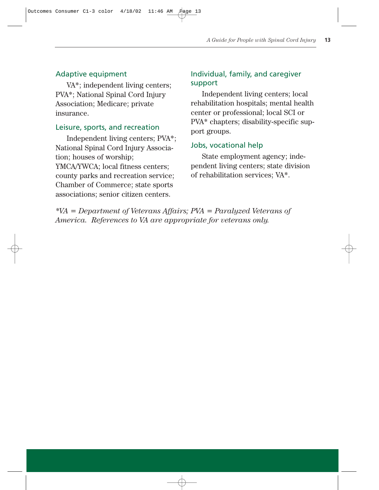#### Adaptive equipment

VA\*; independent living centers; PVA\*; National Spinal Cord Injury Association; Medicare; private insurance.

#### Leisure, sports, and recreation

Independent living centers; PVA\*; National Spinal Cord Injury Association; houses of worship; YMCA/YWCA; local fitness centers; county parks and recreation service; Chamber of Commerce; state sports associations; senior citizen centers.

# Individual, family, and caregiver support

Independent living centers; local rehabilitation hospitals; mental health center or professional; local SCI or PVA\* chapters; disability-specific support groups.

#### Jobs, vocational help

State employment agency; independent living centers; state division of rehabilitation services; VA\*.

*\*VA = Department of Veterans Affairs; PVA = Paralyzed Veterans of America. References to VA are appropriate for veterans only.*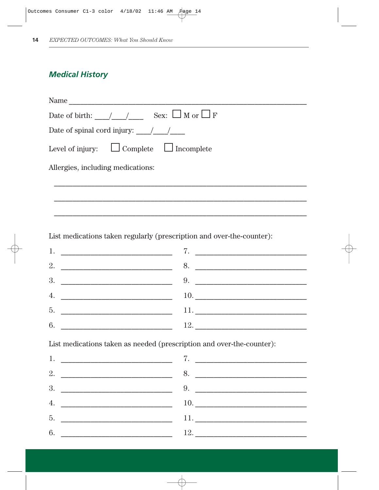# **Medical History**

| Name                                               |
|----------------------------------------------------|
|                                                    |
| Date of spinal cord injury: $\frac{1}{2}$ /        |
| Level of injury: $\Box$ Complete $\Box$ Incomplete |
| Allergies, including medications:                  |
|                                                    |
|                                                    |
|                                                    |

List medications taken regularly (prescription and over-the-counter):

|                                               | 8.                  |
|-----------------------------------------------|---------------------|
|                                               | 9.                  |
|                                               |                     |
| 5.<br><u> 1989 - Johann Barbara, martin a</u> | 11. $\qquad \qquad$ |
| 6.                                            |                     |

List medications taken as needed (prescription and over-the-counter):

|    |                                                           | 7. <u>_____________________</u> |
|----|-----------------------------------------------------------|---------------------------------|
|    | 2. $\overline{\phantom{a}}$                               | 8.                              |
|    |                                                           |                                 |
|    |                                                           |                                 |
| 5. | <u> 1980 - Johann Barbara, martin amerikan personal (</u> |                                 |
| 6. |                                                           |                                 |
|    |                                                           |                                 |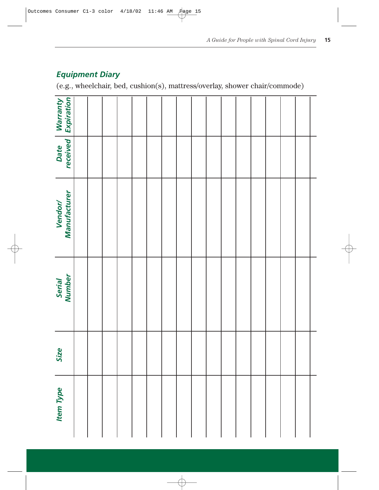| $-$ quip $n$ c $n$ , $\boldsymbol{\nu}$ iui y<br>(e.g., wheelchair, bed, cushion(s), mattress/overlay, shower chair/comm |  |  |  |  |  |  |  |  |  |  |  |
|--------------------------------------------------------------------------------------------------------------------------|--|--|--|--|--|--|--|--|--|--|--|
| Warranty<br>Expiration                                                                                                   |  |  |  |  |  |  |  |  |  |  |  |
| Date<br>received                                                                                                         |  |  |  |  |  |  |  |  |  |  |  |
| Vendor/<br>Manufacturer                                                                                                  |  |  |  |  |  |  |  |  |  |  |  |
| Serial<br>Number                                                                                                         |  |  |  |  |  |  |  |  |  |  |  |
| Size                                                                                                                     |  |  |  |  |  |  |  |  |  |  |  |
| <b>Item Type</b>                                                                                                         |  |  |  |  |  |  |  |  |  |  |  |

# *Equipment Diary*

(e.g., wheelchair, bed, cushion(s), mattress/overlay, shower chair/commode)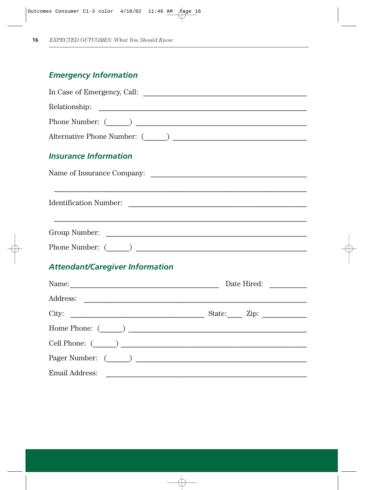# **Emergency Information**

| $\begin{minipage}[c]{0.9\linewidth} \textbf{Relationship:} \end{minipage} \vspace{0.05in} \begin{minipage}[c]{0.9\linewidth} \textbf{Relation} & \textbf{Sh} & \textbf{St} & \textbf{St} & \textbf{St} & \textbf{St} & \textbf{St} & \textbf{St} & \textbf{St} & \textbf{St} & \textbf{St} & \textbf{St} & \textbf{St} & \textbf{St} & \textbf{St} & \textbf{St} & \textbf{St} & \textbf{St} & \textbf{St} & \textbf{St} & \textbf{St} & \textbf{St} & \textbf{St} & \textbf{St$ |  |
|----------------------------------------------------------------------------------------------------------------------------------------------------------------------------------------------------------------------------------------------------------------------------------------------------------------------------------------------------------------------------------------------------------------------------------------------------------------------------------|--|
|                                                                                                                                                                                                                                                                                                                                                                                                                                                                                  |  |
|                                                                                                                                                                                                                                                                                                                                                                                                                                                                                  |  |
| <b>Insurance Information</b>                                                                                                                                                                                                                                                                                                                                                                                                                                                     |  |
| Name of Insurance Company:                                                                                                                                                                                                                                                                                                                                                                                                                                                       |  |
| Identification Number:                                                                                                                                                                                                                                                                                                                                                                                                                                                           |  |
|                                                                                                                                                                                                                                                                                                                                                                                                                                                                                  |  |
|                                                                                                                                                                                                                                                                                                                                                                                                                                                                                  |  |
| <b>Attendant/Caregiver Information</b>                                                                                                                                                                                                                                                                                                                                                                                                                                           |  |
|                                                                                                                                                                                                                                                                                                                                                                                                                                                                                  |  |
|                                                                                                                                                                                                                                                                                                                                                                                                                                                                                  |  |

| City:                   |  |
|-------------------------|--|
| Home Phone: $(\_\_\_\_$ |  |
|                         |  |
| Pager Number: ( )       |  |
| Email Address:          |  |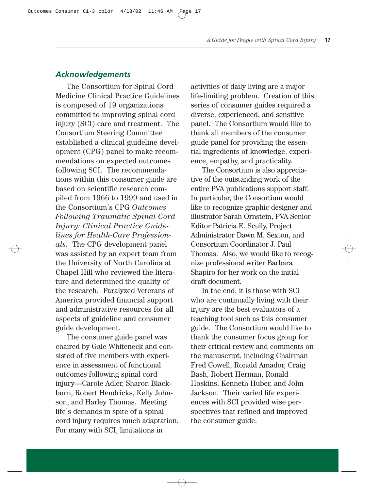# *Acknowledgements*

The Consortium for Spinal Cord Medicine Clinical Practice Guidelines is composed of 19 organizations committed to improving spinal cord injury (SCI) care and treatment. The Consortium Steering Committee established a clinical guideline development (CPG) panel to make recommendations on expected outcomes following SCI. The recommendations within this consumer guide are based on scientific research compiled from 1966 to 1999 and used in the Consortium's CPG *Outcomes Following Traumatic Spinal Cord Injury: Clinical Practice Guidelines for Health-Care Professionals.* The CPG development panel was assisted by an expert team from the University of North Carolina at Chapel Hill who reviewed the literature and determined the quality of the research. Paralyzed Veterans of America provided financial support and administrative resources for all aspects of guideline and consumer guide development.

The consumer guide panel was chaired by Gale Whiteneck and consisted of five members with experience in assessment of functional outcomes following spinal cord injury—Carole Adler, Sharon Blackburn, Robert Hendricks, Kelly Johnson, and Harley Thomas. Meeting life's demands in spite of a spinal cord injury requires much adaptation. For many with SCI, limitations in

activities of daily living are a major life-limiting problem. Creation of this series of consumer guides required a diverse, experienced, and sensitive panel. The Consortium would like to thank all members of the consumer guide panel for providing the essential ingredients of knowledge, experience, empathy, and practicality.

The Consortium is also appreciative of the outstanding work of the entire PVA publications support staff. In particular, the Consortium would like to recognize graphic designer and illustrator Sarah Ornstein, PVA Senior Editor Patricia E. Scully, Project Administrator Dawn M. Sexton, and Consortium Coordinator J. Paul Thomas. Also, we would like to recognize professional writer Barbara Shapiro for her work on the initial draft document.

In the end, it is those with SCI who are continually living with their injury are the best evaluators of a teaching tool such as this consumer guide. The Consortium would like to thank the consumer focus group for their critical review and comments on the manuscript, including Chairman Fred Cowell, Ronald Amador, Craig Bash, Robert Herman, Ronald Hoskins, Kenneth Huber, and John Jackson. Their varied life experiences with SCI provided wise perspectives that refined and improved the consumer guide.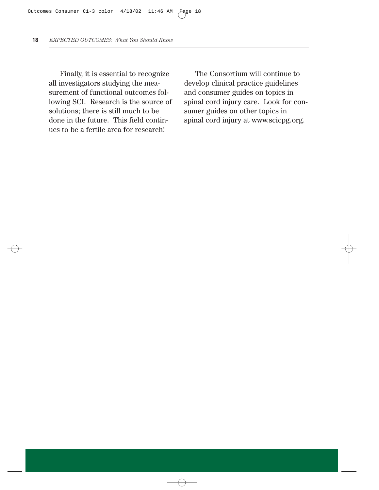Finally, it is essential to recognize all investigators studying the measurement of functional outcomes following SCI. Research is the source of solutions; there is still much to be done in the future. This field continues to be a fertile area for research!

The Consortium will continue to develop clinical practice guidelines and consumer guides on topics in spinal cord injury care. Look for consumer guides on other topics in spinal cord injury at www.scicpg.org.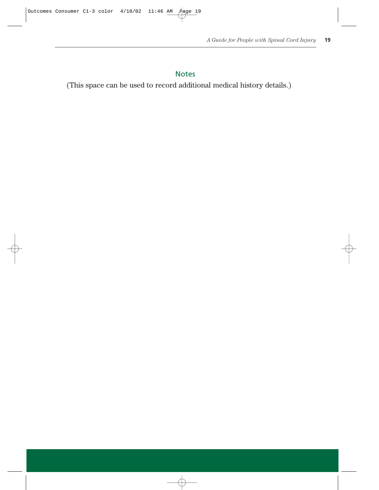# Notes

(This space can be used to record additional medical history details.)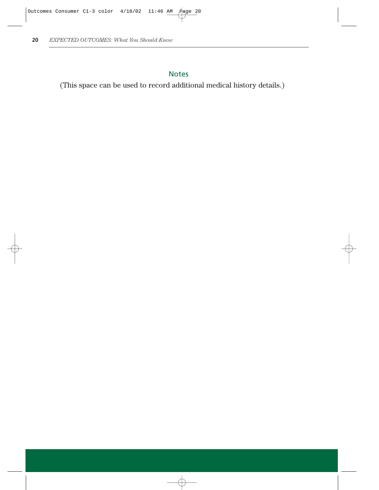# Notes

(This space can be used to record additional medical history details.)